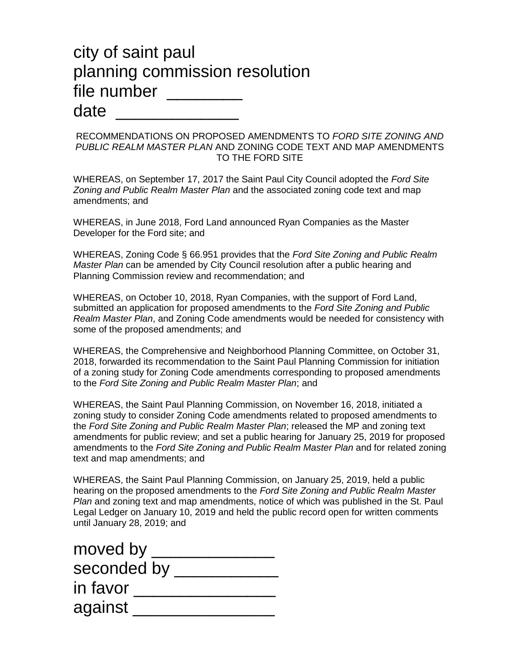## city of saint paul planning commission resolution file number \_\_\_\_\_\_\_ date

RECOMMENDATIONS ON PROPOSED AMENDMENTS TO *FORD SITE ZONING AND PUBLIC REALM MASTER PLAN* AND ZONING CODE TEXT AND MAP AMENDMENTS TO THE FORD SITE

WHEREAS, on September 17, 2017 the Saint Paul City Council adopted the *Ford Site Zoning and Public Realm Master Plan* and the associated zoning code text and map amendments; and

WHEREAS, in June 2018, Ford Land announced Ryan Companies as the Master Developer for the Ford site; and

WHEREAS, Zoning Code § 66.951 provides that the *Ford Site Zoning and Public Realm Master Plan* can be amended by City Council resolution after a public hearing and Planning Commission review and recommendation; and

WHEREAS, on October 10, 2018, Ryan Companies, with the support of Ford Land, submitted an application for proposed amendments to the *Ford Site Zoning and Public Realm Master Plan*, and Zoning Code amendments would be needed for consistency with some of the proposed amendments; and

WHEREAS, the Comprehensive and Neighborhood Planning Committee, on October 31, 2018, forwarded its recommendation to the Saint Paul Planning Commission for initiation of a zoning study for Zoning Code amendments corresponding to proposed amendments to the *Ford Site Zoning and Public Realm Master Plan*; and

WHEREAS, the Saint Paul Planning Commission, on November 16, 2018, initiated a zoning study to consider Zoning Code amendments related to proposed amendments to the *Ford Site Zoning and Public Realm Master Plan*; released the MP and zoning text amendments for public review; and set a public hearing for January 25, 2019 for proposed amendments to the *Ford Site Zoning and Public Realm Master Plan* and for related zoning text and map amendments; and

WHEREAS, the Saint Paul Planning Commission, on January 25, 2019, held a public hearing on the proposed amendments to the *Ford Site Zoning and Public Realm Master Plan* and zoning text and map amendments, notice of which was published in the St. Paul Legal Ledger on January 10, 2019 and held the public record open for written comments until January 28, 2019; and

| moved by    |  |
|-------------|--|
| seconded by |  |
| in favor    |  |
| against     |  |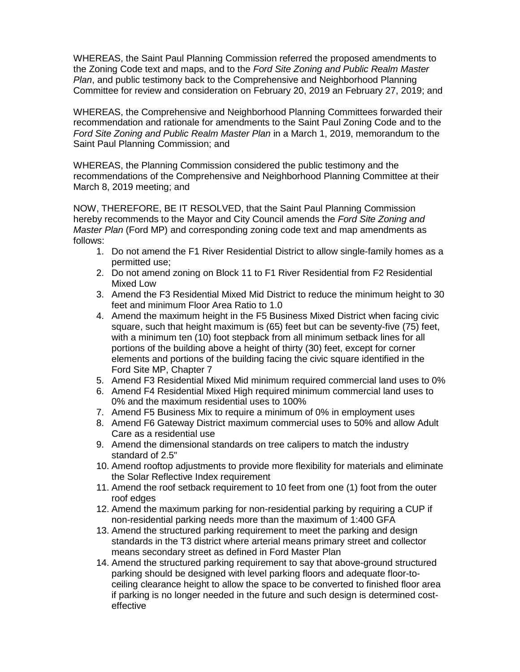WHEREAS, the Saint Paul Planning Commission referred the proposed amendments to the Zoning Code text and maps, and to the *Ford Site Zoning and Public Realm Master Plan*, and public testimony back to the Comprehensive and Neighborhood Planning Committee for review and consideration on February 20, 2019 an February 27, 2019; and

WHEREAS, the Comprehensive and Neighborhood Planning Committees forwarded their recommendation and rationale for amendments to the Saint Paul Zoning Code and to the *Ford Site Zoning and Public Realm Master Plan* in a March 1, 2019, memorandum to the Saint Paul Planning Commission; and

WHEREAS, the Planning Commission considered the public testimony and the recommendations of the Comprehensive and Neighborhood Planning Committee at their March 8, 2019 meeting; and

NOW, THEREFORE, BE IT RESOLVED, that the Saint Paul Planning Commission hereby recommends to the Mayor and City Council amends the *Ford Site Zoning and Master Plan* (Ford MP) and corresponding zoning code text and map amendments as follows:

- 1. Do not amend the F1 River Residential District to allow single-family homes as a permitted use;
- 2. Do not amend zoning on Block 11 to F1 River Residential from F2 Residential Mixed Low
- 3. Amend the F3 Residential Mixed Mid District to reduce the minimum height to 30 feet and minimum Floor Area Ratio to 1.0
- 4. Amend the maximum height in the F5 Business Mixed District when facing civic square, such that height maximum is (65) feet but can be seventy-five (75) feet, with a minimum ten (10) foot stepback from all minimum setback lines for all portions of the building above a height of thirty (30) feet, except for corner elements and portions of the building facing the civic square identified in the Ford Site MP, Chapter 7
- 5. Amend F3 Residential Mixed Mid minimum required commercial land uses to 0%
- 6. Amend F4 Residential Mixed High required minimum commercial land uses to 0% and the maximum residential uses to 100%
- 7. Amend F5 Business Mix to require a minimum of 0% in employment uses
- 8. Amend F6 Gateway District maximum commercial uses to 50% and allow Adult Care as a residential use
- 9. Amend the dimensional standards on tree calipers to match the industry standard of 2.5"
- 10. Amend rooftop adjustments to provide more flexibility for materials and eliminate the Solar Reflective Index requirement
- 11. Amend the roof setback requirement to 10 feet from one (1) foot from the outer roof edges
- 12. Amend the maximum parking for non-residential parking by requiring a CUP if non-residential parking needs more than the maximum of 1:400 GFA
- 13. Amend the structured parking requirement to meet the parking and design standards in the T3 district where arterial means primary street and collector means secondary street as defined in Ford Master Plan
- 14. Amend the structured parking requirement to say that above-ground structured parking should be designed with level parking floors and adequate floor-toceiling clearance height to allow the space to be converted to finished floor area if parking is no longer needed in the future and such design is determined costeffective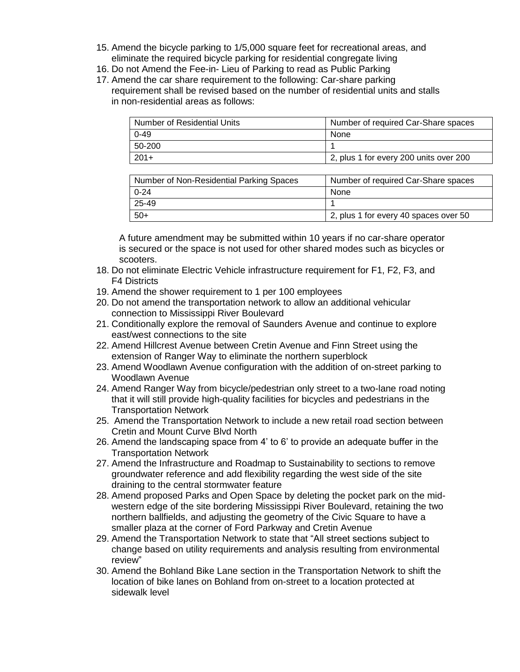- 15. Amend the bicycle parking to 1/5,000 square feet for recreational areas, and eliminate the required bicycle parking for residential congregate living
- 16. Do not Amend the Fee-in- Lieu of Parking to read as Public Parking
- 17. Amend the car share requirement to the following: Car-share parking requirement shall be revised based on the number of residential units and stalls in non-residential areas as follows:

| $0 - 49$<br>None<br>50-200 | Number of Residential Units | Number of required Car-Share spaces    |
|----------------------------|-----------------------------|----------------------------------------|
|                            |                             |                                        |
|                            |                             |                                        |
|                            | $201+$                      | 2, plus 1 for every 200 units over 200 |

| Number of Non-Residential Parking Spaces | Number of required Car-Share spaces   |
|------------------------------------------|---------------------------------------|
| $0 - 24$                                 | None                                  |
| 25-49                                    |                                       |
| $50+$                                    | 2, plus 1 for every 40 spaces over 50 |

A future amendment may be submitted within 10 years if no car-share operator is secured or the space is not used for other shared modes such as bicycles or scooters.

- 18. Do not eliminate Electric Vehicle infrastructure requirement for F1, F2, F3, and F4 Districts
- 19. Amend the shower requirement to 1 per 100 employees
- 20. Do not amend the transportation network to allow an additional vehicular connection to Mississippi River Boulevard
- 21. Conditionally explore the removal of Saunders Avenue and continue to explore east/west connections to the site
- 22. Amend Hillcrest Avenue between Cretin Avenue and Finn Street using the extension of Ranger Way to eliminate the northern superblock
- 23. Amend Woodlawn Avenue configuration with the addition of on-street parking to Woodlawn Avenue
- 24. Amend Ranger Way from bicycle/pedestrian only street to a two-lane road noting that it will still provide high-quality facilities for bicycles and pedestrians in the Transportation Network
- 25. Amend the Transportation Network to include a new retail road section between Cretin and Mount Curve Blvd North
- 26. Amend the landscaping space from 4' to 6' to provide an adequate buffer in the Transportation Network
- 27. Amend the Infrastructure and Roadmap to Sustainability to sections to remove groundwater reference and add flexibility regarding the west side of the site draining to the central stormwater feature
- 28. Amend proposed Parks and Open Space by deleting the pocket park on the midwestern edge of the site bordering Mississippi River Boulevard, retaining the two northern ballfields, and adjusting the geometry of the Civic Square to have a smaller plaza at the corner of Ford Parkway and Cretin Avenue
- 29. Amend the Transportation Network to state that "All street sections subject to change based on utility requirements and analysis resulting from environmental review"
- 30. Amend the Bohland Bike Lane section in the Transportation Network to shift the location of bike lanes on Bohland from on-street to a location protected at sidewalk level